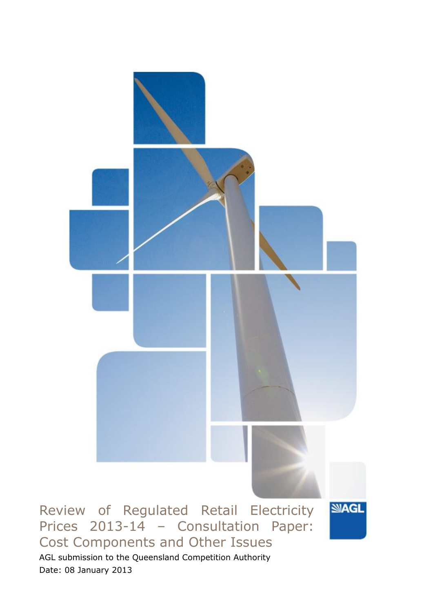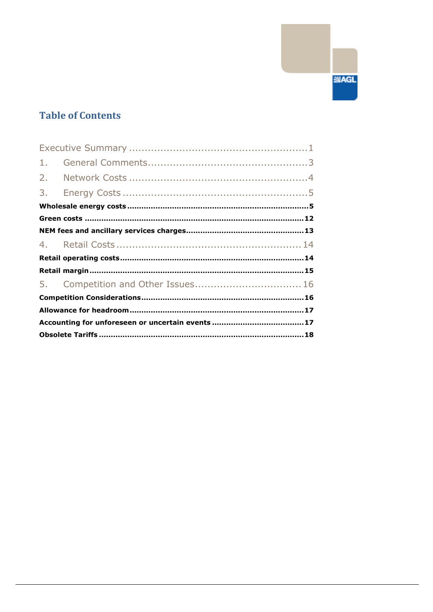# **Table of Contents**

| 1. |  |
|----|--|
| 2. |  |
|    |  |
|    |  |
|    |  |
|    |  |
|    |  |
|    |  |
|    |  |
|    |  |
|    |  |
|    |  |
|    |  |
|    |  |

**SIAGL**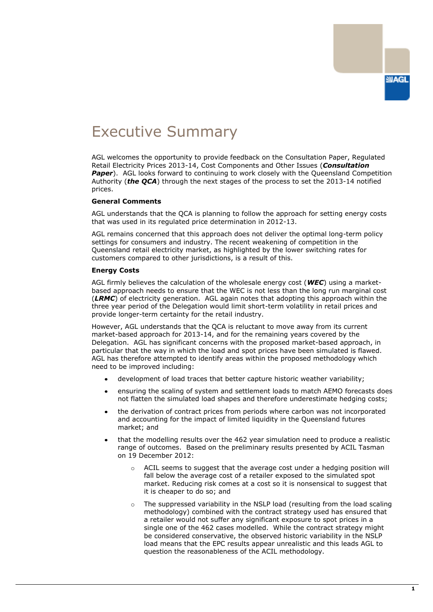# <span id="page-2-0"></span>Executive Summary

AGL welcomes the opportunity to provide feedback on the Consultation Paper, Regulated Retail Electricity Prices 2013-14, Cost Components and Other Issues (*Consultation*  **Paper**). AGL looks forward to continuing to work closely with the Queensland Competition Authority (*the QCA*) through the next stages of the process to set the 2013-14 notified prices.

#### **General Comments**

AGL understands that the QCA is planning to follow the approach for setting energy costs that was used in its regulated price determination in 2012-13.

AGL remains concerned that this approach does not deliver the optimal long-term policy settings for consumers and industry. The recent weakening of competition in the Queensland retail electricity market, as highlighted by the lower switching rates for customers compared to other jurisdictions, is a result of this.

#### **Energy Costs**

AGL firmly believes the calculation of the wholesale energy cost (*WEC*) using a marketbased approach needs to ensure that the WEC is not less than the long run marginal cost (*LRMC*) of electricity generation. AGL again notes that adopting this approach within the three year period of the Delegation would limit short-term volatility in retail prices and provide longer-term certainty for the retail industry.

However, AGL understands that the QCA is reluctant to move away from its current market-based approach for 2013-14, and for the remaining years covered by the Delegation. AGL has significant concerns with the proposed market-based approach, in particular that the way in which the load and spot prices have been simulated is flawed. AGL has therefore attempted to identify areas within the proposed methodology which need to be improved including:

- development of load traces that better capture historic weather variability;
- ensuring the scaling of system and settlement loads to match AEMO forecasts does not flatten the simulated load shapes and therefore underestimate hedging costs;
- the derivation of contract prices from periods where carbon was not incorporated and accounting for the impact of limited liquidity in the Queensland futures market; and
- that the modelling results over the 462 year simulation need to produce a realistic range of outcomes. Based on the preliminary results presented by ACIL Tasman on 19 December 2012:
	- $\circ$  ACIL seems to suggest that the average cost under a hedging position will fall below the average cost of a retailer exposed to the simulated spot market. Reducing risk comes at a cost so it is nonsensical to suggest that it is cheaper to do so; and
	- o The suppressed variability in the NSLP load (resulting from the load scaling methodology) combined with the contract strategy used has ensured that a retailer would not suffer any significant exposure to spot prices in a single one of the 462 cases modelled. While the contract strategy might be considered conservative, the observed historic variability in the NSLP load means that the EPC results appear unrealistic and this leads AGL to question the reasonableness of the ACIL methodology.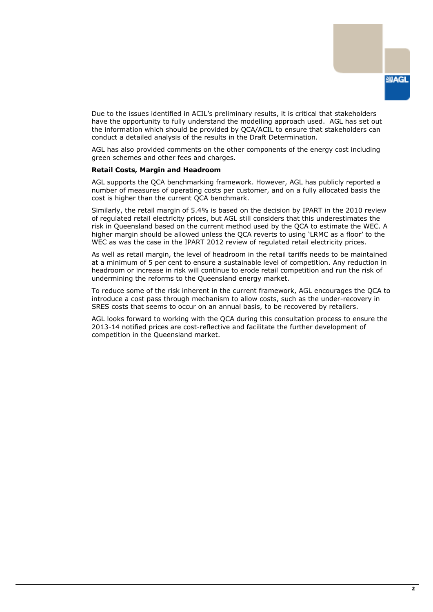Due to the issues identified in ACIL"s preliminary results, it is critical that stakeholders have the opportunity to fully understand the modelling approach used. AGL has set out the information which should be provided by QCA/ACIL to ensure that stakeholders can conduct a detailed analysis of the results in the Draft Determination.

AGL has also provided comments on the other components of the energy cost including green schemes and other fees and charges.

#### **Retail Costs, Margin and Headroom**

AGL supports the QCA benchmarking framework. However, AGL has publicly reported a number of measures of operating costs per customer, and on a fully allocated basis the cost is higher than the current QCA benchmark.

Similarly, the retail margin of 5.4% is based on the decision by IPART in the 2010 review of regulated retail electricity prices, but AGL still considers that this underestimates the risk in Queensland based on the current method used by the QCA to estimate the WEC. A higher margin should be allowed unless the QCA reverts to using "LRMC as a floor" to the WEC as was the case in the IPART 2012 review of regulated retail electricity prices.

As well as retail margin, the level of headroom in the retail tariffs needs to be maintained at a minimum of 5 per cent to ensure a sustainable level of competition. Any reduction in headroom or increase in risk will continue to erode retail competition and run the risk of undermining the reforms to the Queensland energy market.

To reduce some of the risk inherent in the current framework, AGL encourages the QCA to introduce a cost pass through mechanism to allow costs, such as the under-recovery in SRES costs that seems to occur on an annual basis, to be recovered by retailers.

AGL looks forward to working with the QCA during this consultation process to ensure the 2013-14 notified prices are cost-reflective and facilitate the further development of competition in the Queensland market.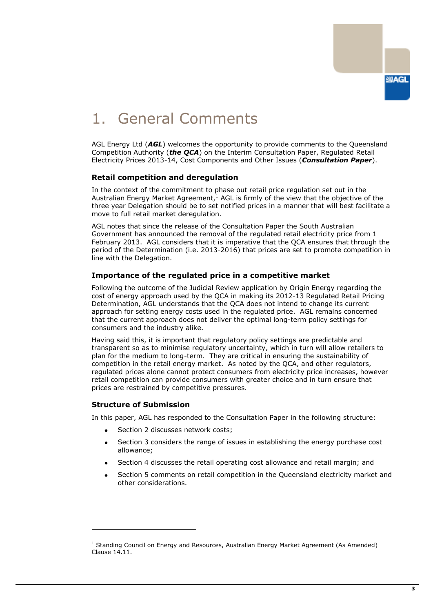

# <span id="page-4-0"></span>1. General Comments

AGL Energy Ltd (*AGL*) welcomes the opportunity to provide comments to the Queensland Competition Authority (*the QCA*) on the Interim Consultation Paper, Regulated Retail Electricity Prices 2013-14, Cost Components and Other Issues (*Consultation Paper*).

## **Retail competition and deregulation**

In the context of the commitment to phase out retail price regulation set out in the Australian Energy Market Agreement, $1$  AGL is firmly of the view that the objective of the three year Delegation should be to set notified prices in a manner that will best facilitate a move to full retail market deregulation.

AGL notes that since the release of the Consultation Paper the South Australian Government has announced the removal of the regulated retail electricity price from 1 February 2013. AGL considers that it is imperative that the QCA ensures that through the period of the Determination (i.e. 2013-2016) that prices are set to promote competition in line with the Delegation.

### **Importance of the regulated price in a competitive market**

Following the outcome of the Judicial Review application by Origin Energy regarding the cost of energy approach used by the QCA in making its 2012-13 Regulated Retail Pricing Determination, AGL understands that the QCA does not intend to change its current approach for setting energy costs used in the regulated price. AGL remains concerned that the current approach does not deliver the optimal long-term policy settings for consumers and the industry alike.

Having said this, it is important that regulatory policy settings are predictable and transparent so as to minimise regulatory uncertainty, which in turn will allow retailers to plan for the medium to long-term. They are critical in ensuring the sustainability of competition in the retail energy market. As noted by the QCA, and other regulators, regulated prices alone cannot protect consumers from electricity price increases, however retail competition can provide consumers with greater choice and in turn ensure that prices are restrained by competitive pressures.

## **Structure of Submission**

-

In this paper, AGL has responded to the Consultation Paper in the following structure:

- Section 2 discusses network costs;
- Section 3 considers the range of issues in establishing the energy purchase cost allowance;
- Section 4 discusses the retail operating cost allowance and retail margin; and
- Section 5 comments on retail competition in the Queensland electricity market and other considerations.

 $1$  Standing Council on Energy and Resources, Australian Energy Market Agreement (As Amended) Clause 14.11.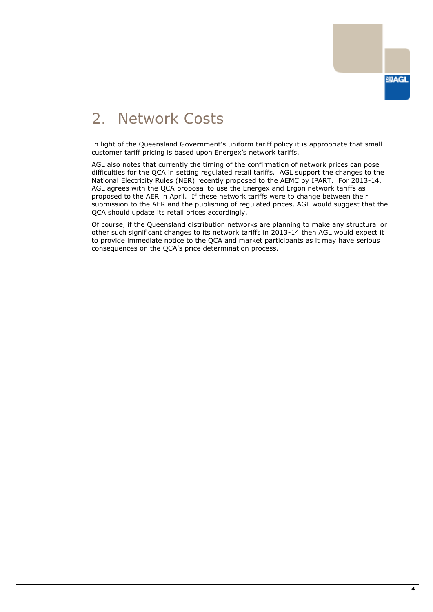

# <span id="page-5-0"></span>2. Network Costs

In light of the Queensland Government's uniform tariff policy it is appropriate that small customer tariff pricing is based upon Energex's network tariffs.

AGL also notes that currently the timing of the confirmation of network prices can pose difficulties for the QCA in setting regulated retail tariffs. AGL support the changes to the National Electricity Rules (NER) recently proposed to the AEMC by IPART. For 2013-14, AGL agrees with the QCA proposal to use the Energex and Ergon network tariffs as proposed to the AER in April. If these network tariffs were to change between their submission to the AER and the publishing of regulated prices, AGL would suggest that the QCA should update its retail prices accordingly.

Of course, if the Queensland distribution networks are planning to make any structural or other such significant changes to its network tariffs in 2013-14 then AGL would expect it to provide immediate notice to the QCA and market participants as it may have serious consequences on the QCA"s price determination process.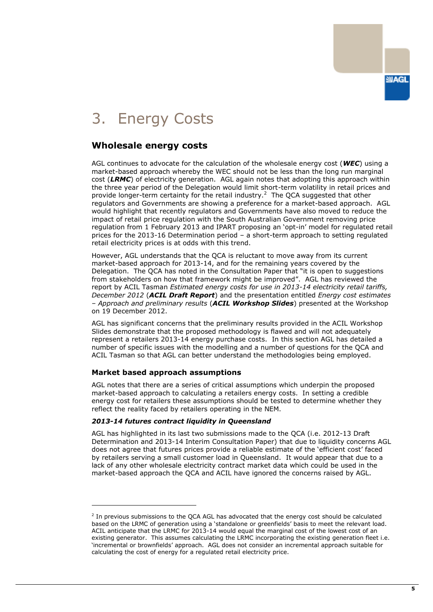# <span id="page-6-0"></span>3. Energy Costs

# <span id="page-6-1"></span>**Wholesale energy costs**

AGL continues to advocate for the calculation of the wholesale energy cost (*WEC*) using a market-based approach whereby the WEC should not be less than the long run marginal cost (*LRMC*) of electricity generation. AGL again notes that adopting this approach within the three year period of the Delegation would limit short-term volatility in retail prices and provide longer-term certainty for the retail industry.<sup>2</sup> The QCA suggested that other regulators and Governments are showing a preference for a market-based approach. AGL would highlight that recently regulators and Governments have also moved to reduce the impact of retail price regulation with the South Australian Government removing price regulation from 1 February 2013 and IPART proposing an "opt-in" model for regulated retail prices for the 2013-16 Determination period – a short-term approach to setting regulated retail electricity prices is at odds with this trend.

However, AGL understands that the QCA is reluctant to move away from its current market-based approach for 2013-14, and for the remaining years covered by the Delegation. The QCA has noted in the Consultation Paper that "it is open to suggestions from stakeholders on how that framework might be improved". AGL has reviewed the report by ACIL Tasman *Estimated energy costs for use in 2013-14 electricity retail tariffs, December 2012* (*ACIL Draft Report*) and the presentation entitled *Energy cost estimates – Approach and preliminary results* (*ACIL Workshop Slides*) presented at the Workshop on 19 December 2012.

AGL has significant concerns that the preliminary results provided in the ACIL Workshop Slides demonstrate that the proposed methodology is flawed and will not adequately represent a retailers 2013-14 energy purchase costs. In this section AGL has detailed a number of specific issues with the modelling and a number of questions for the QCA and ACIL Tasman so that AGL can better understand the methodologies being employed.

## **Market based approach assumptions**

-

AGL notes that there are a series of critical assumptions which underpin the proposed market-based approach to calculating a retailers energy costs. In setting a credible energy cost for retailers these assumptions should be tested to determine whether they reflect the reality faced by retailers operating in the NEM.

## *2013-14 futures contract liquidity in Queensland*

AGL has highlighted in its last two submissions made to the QCA (i.e. 2012-13 Draft Determination and 2013-14 Interim Consultation Paper) that due to liquidity concerns AGL does not agree that futures prices provide a reliable estimate of the "efficient cost" faced by retailers serving a small customer load in Queensland. It would appear that due to a lack of any other wholesale electricity contract market data which could be used in the market-based approach the QCA and ACIL have ignored the concerns raised by AGL.

<sup>&</sup>lt;sup>2</sup> In previous submissions to the QCA AGL has advocated that the energy cost should be calculated based on the LRMC of generation using a "standalone or greenfields" basis to meet the relevant load. ACIL anticipate that the LRMC for 2013-14 would equal the marginal cost of the lowest cost of an existing generator. This assumes calculating the LRMC incorporating the existing generation fleet i.e. "incremental or brownfields" approach. AGL does not consider an incremental approach suitable for calculating the cost of energy for a regulated retail electricity price.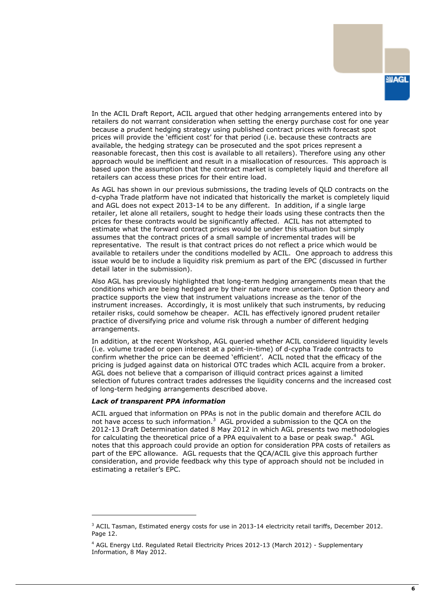In the ACIL Draft Report, ACIL argued that other hedging arrangements entered into by retailers do not warrant consideration when setting the energy purchase cost for one year because a prudent hedging strategy using published contract prices with forecast spot prices will provide the "efficient cost" for that period (i.e. because these contracts are available, the hedging strategy can be prosecuted and the spot prices represent a reasonable forecast, then this cost is available to all retailers). Therefore using any other approach would be inefficient and result in a misallocation of resources. This approach is based upon the assumption that the contract market is completely liquid and therefore all retailers can access these prices for their entire load.

As AGL has shown in our previous submissions, the trading levels of QLD contracts on the d-cypha Trade platform have not indicated that historically the market is completely liquid and AGL does not expect 2013-14 to be any different. In addition, if a single large retailer, let alone all retailers, sought to hedge their loads using these contracts then the prices for these contracts would be significantly affected. ACIL has not attempted to estimate what the forward contract prices would be under this situation but simply assumes that the contract prices of a small sample of incremental trades will be representative. The result is that contract prices do not reflect a price which would be available to retailers under the conditions modelled by ACIL. One approach to address this issue would be to include a liquidity risk premium as part of the EPC (discussed in further detail later in the submission).

Also AGL has previously highlighted that long-term hedging arrangements mean that the conditions which are being hedged are by their nature more uncertain. Option theory and practice supports the view that instrument valuations increase as the tenor of the instrument increases. Accordingly, it is most unlikely that such instruments, by reducing retailer risks, could somehow be cheaper. ACIL has effectively ignored prudent retailer practice of diversifying price and volume risk through a number of different hedging arrangements.

In addition, at the recent Workshop, AGL queried whether ACIL considered liquidity levels (i.e. volume traded or open interest at a point-in-time) of d-cypha Trade contracts to confirm whether the price can be deemed "efficient". ACIL noted that the efficacy of the pricing is judged against data on historical OTC trades which ACIL acquire from a broker. AGL does not believe that a comparison of illiquid contract prices against a limited selection of futures contract trades addresses the liquidity concerns and the increased cost of long-term hedging arrangements described above.

#### *Lack of transparent PPA information*

-

ACIL argued that information on PPAs is not in the public domain and therefore ACIL do not have access to such information. $3$  AGL provided a submission to the QCA on the 2012-13 Draft Determination dated 8 May 2012 in which AGL presents two methodologies for calculating the theoretical price of a PPA equivalent to a base or peak swap.<sup>4</sup> AGL notes that this approach could provide an option for consideration PPA costs of retailers as part of the EPC allowance. AGL requests that the QCA/ACIL give this approach further consideration, and provide feedback why this type of approach should not be included in estimating a retailer's EPC.

 $3$  ACIL Tasman, Estimated energy costs for use in 2013-14 electricity retail tariffs, December 2012. Page 12.

<sup>4</sup> AGL Energy Ltd. Regulated Retail Electricity Prices 2012-13 (March 2012) - Supplementary Information, 8 May 2012.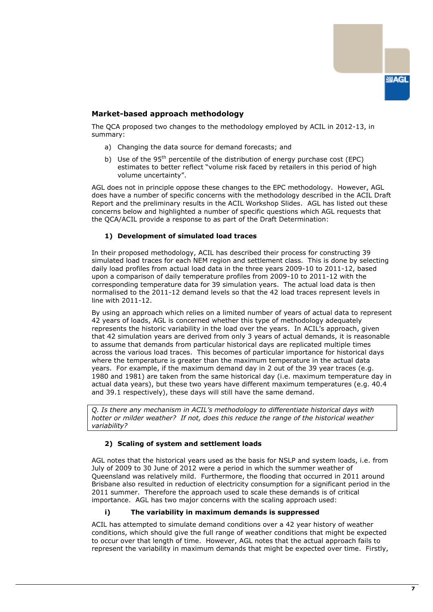

## **Market-based approach methodology**

The QCA proposed two changes to the methodology employed by ACIL in 2012-13, in summary:

- a) Changing the data source for demand forecasts; and
- b) Use of the  $95<sup>th</sup>$  percentile of the distribution of energy purchase cost (EPC) estimates to better reflect "volume risk faced by retailers in this period of high volume uncertainty".

AGL does not in principle oppose these changes to the EPC methodology. However, AGL does have a number of specific concerns with the methodology described in the ACIL Draft Report and the preliminary results in the ACIL Workshop Slides. AGL has listed out these concerns below and highlighted a number of specific questions which AGL requests that the QCA/ACIL provide a response to as part of the Draft Determination:

#### **1) Development of simulated load traces**

In their proposed methodology, ACIL has described their process for constructing 39 simulated load traces for each NEM region and settlement class. This is done by selecting daily load profiles from actual load data in the three years 2009-10 to 2011-12, based upon a comparison of daily temperature profiles from 2009-10 to 2011-12 with the corresponding temperature data for 39 simulation years. The actual load data is then normalised to the 2011-12 demand levels so that the 42 load traces represent levels in line with 2011-12.

By using an approach which relies on a limited number of years of actual data to represent 42 years of loads, AGL is concerned whether this type of methodology adequately represents the historic variability in the load over the years. In ACIL's approach, given that 42 simulation years are derived from only 3 years of actual demands, it is reasonable to assume that demands from particular historical days are replicated multiple times across the various load traces. This becomes of particular importance for historical days where the temperature is greater than the maximum temperature in the actual data years. For example, if the maximum demand day in 2 out of the 39 year traces (e.g. 1980 and 1981) are taken from the same historical day (i.e. maximum temperature day in actual data years), but these two years have different maximum temperatures (e.g. 40.4 and 39.1 respectively), these days will still have the same demand.

*Q. Is there any mechanism in ACIL's methodology to differentiate historical days with hotter or milder weather? If not, does this reduce the range of the historical weather variability?*

#### **2) Scaling of system and settlement loads**

AGL notes that the historical years used as the basis for NSLP and system loads, i.e. from July of 2009 to 30 June of 2012 were a period in which the summer weather of Queensland was relatively mild. Furthermore, the flooding that occurred in 2011 around Brisbane also resulted in reduction of electricity consumption for a significant period in the 2011 summer. Therefore the approach used to scale these demands is of critical importance. AGL has two major concerns with the scaling approach used:

### **i) The variability in maximum demands is suppressed**

ACIL has attempted to simulate demand conditions over a 42 year history of weather conditions, which should give the full range of weather conditions that might be expected to occur over that length of time. However, AGL notes that the actual approach fails to represent the variability in maximum demands that might be expected over time. Firstly,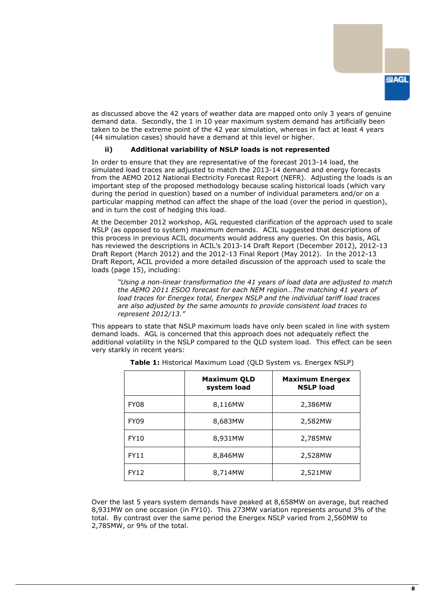

as discussed above the 42 years of weather data are mapped onto only 3 years of genuine demand data. Secondly, the 1 in 10 year maximum system demand has artificially been taken to be the extreme point of the 42 year simulation, whereas in fact at least 4 years (44 simulation cases) should have a demand at this level or higher.

#### **ii) Additional variability of NSLP loads is not represented**

In order to ensure that they are representative of the forecast 2013-14 load, the simulated load traces are adjusted to match the 2013-14 demand and energy forecasts from the AEMO 2012 National Electricity Forecast Report (NEFR). Adjusting the loads is an important step of the proposed methodology because scaling historical loads (which vary during the period in question) based on a number of individual parameters and/or on a particular mapping method can affect the shape of the load (over the period in question), and in turn the cost of hedging this load.

At the December 2012 workshop, AGL requested clarification of the approach used to scale NSLP (as opposed to system) maximum demands. ACIL suggested that descriptions of this process in previous ACIL documents would address any queries. On this basis, AGL has reviewed the descriptions in ACIL's 2013-14 Draft Report (December 2012), 2012-13 Draft Report (March 2012) and the 2012-13 Final Report (May 2012). In the 2012-13 Draft Report, ACIL provided a more detailed discussion of the approach used to scale the loads (page 15), including:

*"Using a non-linear transformation the 41 years of load data are adjusted to match the AEMO 2011 ESOO forecast for each NEM region…The matching 41 years of load traces for Energex total, Energex NSLP and the individual tariff load traces are also adjusted by the same amounts to provide consistent load traces to represent 2012/13."*

This appears to state that NSLP maximum loads have only been scaled in line with system demand loads. AGL is concerned that this approach does not adequately reflect the additional volatility in the NSLP compared to the QLD system load. This effect can be seen very starkly in recent years:

|             | <b>Maximum QLD</b><br>system load | <b>Maximum Energex</b><br><b>NSLP load</b> |
|-------------|-----------------------------------|--------------------------------------------|
| FY08        | 8,116MW                           | 2,386MW                                    |
| <b>FY09</b> | 8,683MW                           | 2,582MW                                    |
| <b>FY10</b> | 8,931MW                           | 2,785MW                                    |
| <b>FY11</b> | 8,846MW                           | 2,528MW                                    |
| <b>FY12</b> | 8,714MW                           | 2,521MW                                    |

**Table 1:** Historical Maximum Load (QLD System vs. Energex NSLP)

Over the last 5 years system demands have peaked at 8,658MW on average, but reached 8,931MW on one occasion (in FY10). This 273MW variation represents around 3% of the total. By contrast over the same period the Energex NSLP varied from 2,560MW to 2,785MW, or 9% of the total.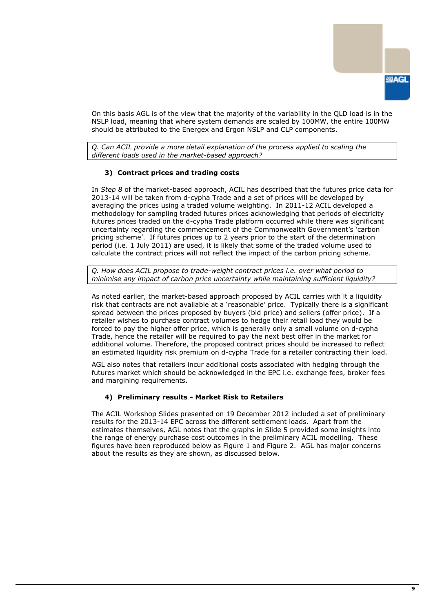

On this basis AGL is of the view that the majority of the variability in the QLD load is in the NSLP load, meaning that where system demands are scaled by 100MW, the entire 100MW should be attributed to the Energex and Ergon NSLP and CLP components.

*Q. Can ACIL provide a more detail explanation of the process applied to scaling the different loads used in the market-based approach?*

## **3) Contract prices and trading costs**

In *Step 8* of the market-based approach, ACIL has described that the futures price data for 2013-14 will be taken from d-cypha Trade and a set of prices will be developed by averaging the prices using a traded volume weighting. In 2011-12 ACIL developed a methodology for sampling traded futures prices acknowledging that periods of electricity futures prices traded on the d-cypha Trade platform occurred while there was significant uncertainty regarding the commencement of the Commonwealth Government's 'carbon pricing scheme'. If futures prices up to 2 years prior to the start of the determination period (i.e. 1 July 2011) are used, it is likely that some of the traded volume used to calculate the contract prices will not reflect the impact of the carbon pricing scheme.

*Q. How does ACIL propose to trade-weight contract prices i.e. over what period to minimise any impact of carbon price uncertainty while maintaining sufficient liquidity?*

As noted earlier, the market-based approach proposed by ACIL carries with it a liquidity risk that contracts are not available at a "reasonable" price. Typically there is a significant spread between the prices proposed by buyers (bid price) and sellers (offer price). If a retailer wishes to purchase contract volumes to hedge their retail load they would be forced to pay the higher offer price, which is generally only a small volume on d-cypha Trade, hence the retailer will be required to pay the next best offer in the market for additional volume. Therefore, the proposed contract prices should be increased to reflect an estimated liquidity risk premium on d-cypha Trade for a retailer contracting their load.

AGL also notes that retailers incur additional costs associated with hedging through the futures market which should be acknowledged in the EPC i.e. exchange fees, broker fees and margining requirements.

#### **4) Preliminary results - Market Risk to Retailers**

The ACIL Workshop Slides presented on 19 December 2012 included a set of preliminary results for the 2013-14 EPC across the different settlement loads. Apart from the estimates themselves, AGL notes that the graphs in Slide 5 provided some insights into the range of energy purchase cost outcomes in the preliminary ACIL modelling. These figures have been reproduced below as Figure 1 and Figure 2. AGL has major concerns about the results as they are shown, as discussed below.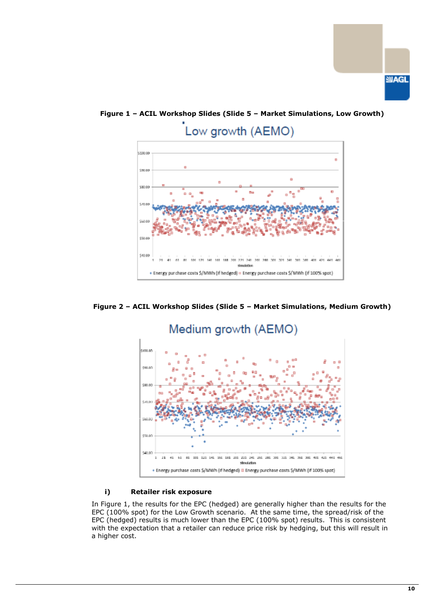



**Figure 1 – ACIL Workshop Slides (Slide 5 – Market Simulations, Low Growth)**

**Figure 2 – ACIL Workshop Slides (Slide 5 – Market Simulations, Medium Growth)**



#### **i) Retailer risk exposure**

In Figure 1, the results for the EPC (hedged) are generally higher than the results for the EPC (100% spot) for the Low Growth scenario. At the same time, the spread/risk of the EPC (hedged) results is much lower than the EPC (100% spot) results. This is consistent with the expectation that a retailer can reduce price risk by hedging, but this will result in a higher cost.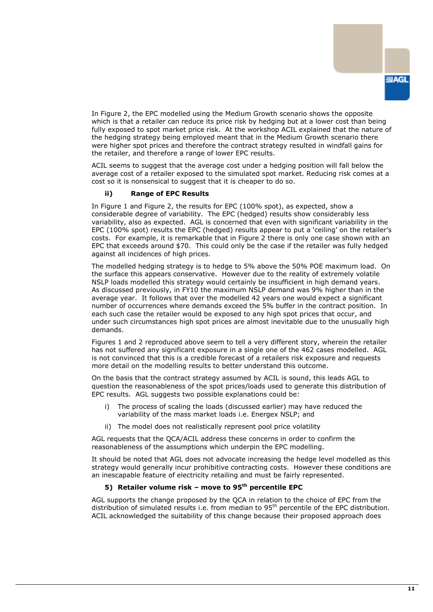In Figure 2, the EPC modelled using the Medium Growth scenario shows the opposite which is that a retailer can reduce its price risk by hedging but at a lower cost than being fully exposed to spot market price risk. At the workshop ACIL explained that the nature of the hedging strategy being employed meant that in the Medium Growth scenario there were higher spot prices and therefore the contract strategy resulted in windfall gains for the retailer, and therefore a range of lower EPC results.

ACIL seems to suggest that the average cost under a hedging position will fall below the average cost of a retailer exposed to the simulated spot market. Reducing risk comes at a cost so it is nonsensical to suggest that it is cheaper to do so.

#### **ii) Range of EPC Results**

In Figure 1 and Figure 2, the results for EPC (100% spot), as expected, show a considerable degree of variability. The EPC (hedged) results show considerably less variability, also as expected. AGL is concerned that even with significant variability in the EPC (100% spot) results the EPC (hedged) results appear to put a 'ceiling' on the retailer's costs. For example, it is remarkable that in Figure 2 there is only one case shown with an EPC that exceeds around \$70. This could only be the case if the retailer was fully hedged against all incidences of high prices.

The modelled hedging strategy is to hedge to 5% above the 50% POE maximum load. On the surface this appears conservative. However due to the reality of extremely volatile NSLP loads modelled this strategy would certainly be insufficient in high demand years. As discussed previously, in FY10 the maximum NSLP demand was 9% higher than in the average year. It follows that over the modelled 42 years one would expect a significant number of occurrences where demands exceed the 5% buffer in the contract position. In each such case the retailer would be exposed to any high spot prices that occur, and under such circumstances high spot prices are almost inevitable due to the unusually high demands.

Figures 1 and 2 reproduced above seem to tell a very different story, wherein the retailer has not suffered any significant exposure in a single one of the 462 cases modelled. AGL is not convinced that this is a credible forecast of a retailers risk exposure and requests more detail on the modelling results to better understand this outcome.

On the basis that the contract strategy assumed by ACIL is sound, this leads AGL to question the reasonableness of the spot prices/loads used to generate this distribution of EPC results. AGL suggests two possible explanations could be:

- i) The process of scaling the loads (discussed earlier) may have reduced the variability of the mass market loads i.e. Energex NSLP; and
- ii) The model does not realistically represent pool price volatility

AGL requests that the QCA/ACIL address these concerns in order to confirm the reasonableness of the assumptions which underpin the EPC modelling.

It should be noted that AGL does not advocate increasing the hedge level modelled as this strategy would generally incur prohibitive contracting costs. However these conditions are an inescapable feature of electricity retailing and must be fairly represented.

### **5) Retailer volume risk – move to 95th percentile EPC**

AGL supports the change proposed by the QCA in relation to the choice of EPC from the distribution of simulated results i.e. from median to 95<sup>th</sup> percentile of the EPC distribution. ACIL acknowledged the suitability of this change because their proposed approach does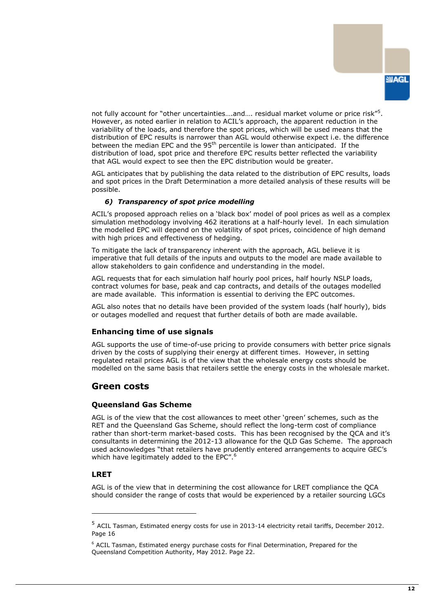not fully account for "other uncertainties....and.... residual market volume or price risk"<sup>5</sup>. However, as noted earlier in relation to ACIL"s approach, the apparent reduction in the variability of the loads, and therefore the spot prices, which will be used means that the distribution of EPC results is narrower than AGL would otherwise expect i.e. the difference between the median EPC and the  $95<sup>th</sup>$  percentile is lower than anticipated. If the distribution of load, spot price and therefore EPC results better reflected the variability that AGL would expect to see then the EPC distribution would be greater.

AGL anticipates that by publishing the data related to the distribution of EPC results, loads and spot prices in the Draft Determination a more detailed analysis of these results will be possible.

#### *6) Transparency of spot price modelling*

ACIL"s proposed approach relies on a "black box" model of pool prices as well as a complex simulation methodology involving 462 iterations at a half-hourly level. In each simulation the modelled EPC will depend on the volatility of spot prices, coincidence of high demand with high prices and effectiveness of hedging.

To mitigate the lack of transparency inherent with the approach, AGL believe it is imperative that full details of the inputs and outputs to the model are made available to allow stakeholders to gain confidence and understanding in the model.

AGL requests that for each simulation half hourly pool prices, half hourly NSLP loads, contract volumes for base, peak and cap contracts, and details of the outages modelled are made available. This information is essential to deriving the EPC outcomes.

AGL also notes that no details have been provided of the system loads (half hourly), bids or outages modelled and request that further details of both are made available.

## **Enhancing time of use signals**

AGL supports the use of time-of-use pricing to provide consumers with better price signals driven by the costs of supplying their energy at different times. However, in setting regulated retail prices AGL is of the view that the wholesale energy costs should be modelled on the same basis that retailers settle the energy costs in the wholesale market.

## <span id="page-13-0"></span>**Green costs**

#### **Queensland Gas Scheme**

AGL is of the view that the cost allowances to meet other "green" schemes, such as the RET and the Queensland Gas Scheme, should reflect the long-term cost of compliance rather than short-term market-based costs. This has been recognised by the QCA and it"s consultants in determining the 2012-13 allowance for the QLD Gas Scheme. The approach used acknowledges "that retailers have prudently entered arrangements to acquire GEC"s which have legitimately added to the EPC".<sup>6</sup>

## **LRET**

-

AGL is of the view that in determining the cost allowance for LRET compliance the QCA should consider the range of costs that would be experienced by a retailer sourcing LGCs

<sup>&</sup>lt;sup>5</sup> ACIL Tasman, Estimated energy costs for use in 2013-14 electricity retail tariffs, December 2012. Page 16

 $6$  ACIL Tasman, Estimated energy purchase costs for Final Determination, Prepared for the Queensland Competition Authority, May 2012. Page 22.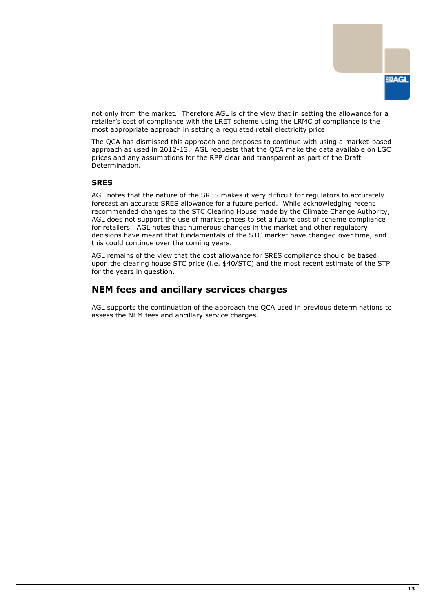

not only from the market. Therefore AGL is of the view that in setting the allowance for a retailer's cost of compliance with the LRET scheme using the LRMC of compliance is the most appropriate approach in setting a regulated retail electricity price.

The QCA has dismissed this approach and proposes to continue with using a market-based approach as used in 2012-13. AGL requests that the QCA make the data available on LGC prices and any assumptions for the RPP clear and transparent as part of the Draft Determination.

### **SRES**

AGL notes that the nature of the SRES makes it very difficult for regulators to accurately forecast an accurate SRES allowance for a future period. While acknowledging recent recommended changes to the STC Clearing House made by the Climate Change Authority, AGL does not support the use of market prices to set a future cost of scheme compliance for retailers. AGL notes that numerous changes in the market and other regulatory decisions have meant that fundamentals of the STC market have changed over time, and this could continue over the coming years.

AGL remains of the view that the cost allowance for SRES compliance should be based upon the clearing house STC price (i.e. \$40/STC) and the most recent estimate of the STP for the years in question.

## <span id="page-14-0"></span>**NEM fees and ancillary services charges**

AGL supports the continuation of the approach the QCA used in previous determinations to assess the NEM fees and ancillary service charges.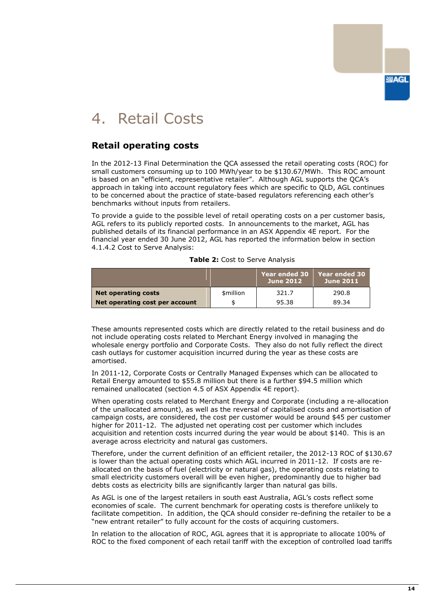# **SMAGL**

# <span id="page-15-0"></span>4. Retail Costs

# <span id="page-15-1"></span>**Retail operating costs**

In the 2012-13 Final Determination the QCA assessed the retail operating costs (ROC) for small customers consuming up to 100 MWh/year to be \$130.67/MWh. This ROC amount is based on an "efficient, representative retailer". Although AGL supports the QCA"s approach in taking into account regulatory fees which are specific to QLD, AGL continues to be concerned about the practice of state-based regulators referencing each other"s benchmarks without inputs from retailers.

To provide a guide to the possible level of retail operating costs on a per customer basis, AGL refers to its publicly reported costs. In announcements to the market, AGL has published details of its financial performance in an ASX Appendix 4E report. For the financial year ended 30 June 2012, AGL has reported the information below in section 4.1.4.2 Cost to Serve Analysis:

| Table 2: Cost to Serve Analysis |  |  |  |  |  |
|---------------------------------|--|--|--|--|--|
|---------------------------------|--|--|--|--|--|

|                                |           | Year ended 30<br><b>June 2012</b> | Year ended 30<br><b>June 2011</b> |
|--------------------------------|-----------|-----------------------------------|-----------------------------------|
| <b>Net operating costs</b>     | \$million | 321.7                             | 290.8                             |
| Net operating cost per account |           | 95.38                             | 89.34                             |

These amounts represented costs which are directly related to the retail business and do not include operating costs related to Merchant Energy involved in managing the wholesale energy portfolio and Corporate Costs. They also do not fully reflect the direct cash outlays for customer acquisition incurred during the year as these costs are amortised.

In 2011-12, Corporate Costs or Centrally Managed Expenses which can be allocated to Retail Energy amounted to \$55.8 million but there is a further \$94.5 million which remained unallocated (section 4.5 of ASX Appendix 4E report).

When operating costs related to Merchant Energy and Corporate (including a re-allocation of the unallocated amount), as well as the reversal of capitalised costs and amortisation of campaign costs, are considered, the cost per customer would be around \$45 per customer higher for 2011-12. The adjusted net operating cost per customer which includes acquisition and retention costs incurred during the year would be about \$140. This is an average across electricity and natural gas customers.

Therefore, under the current definition of an efficient retailer, the 2012-13 ROC of \$130.67 is lower than the actual operating costs which AGL incurred in 2011-12. If costs are reallocated on the basis of fuel (electricity or natural gas), the operating costs relating to small electricity customers overall will be even higher, predominantly due to higher bad debts costs as electricity bills are significantly larger than natural gas bills.

As AGL is one of the largest retailers in south east Australia, AGL"s costs reflect some economies of scale. The current benchmark for operating costs is therefore unlikely to facilitate competition. In addition, the QCA should consider re-defining the retailer to be a "new entrant retailer" to fully account for the costs of acquiring customers.

In relation to the allocation of ROC, AGL agrees that it is appropriate to allocate 100% of ROC to the fixed component of each retail tariff with the exception of controlled load tariffs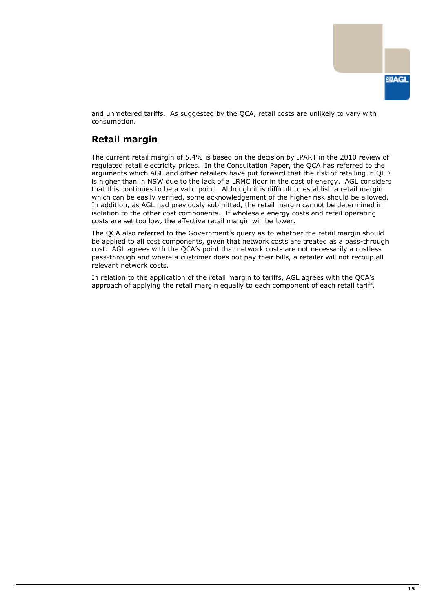

and unmetered tariffs. As suggested by the QCA, retail costs are unlikely to vary with consumption.

# <span id="page-16-0"></span>**Retail margin**

The current retail margin of 5.4% is based on the decision by IPART in the 2010 review of regulated retail electricity prices. In the Consultation Paper, the QCA has referred to the arguments which AGL and other retailers have put forward that the risk of retailing in QLD is higher than in NSW due to the lack of a LRMC floor in the cost of energy. AGL considers that this continues to be a valid point. Although it is difficult to establish a retail margin which can be easily verified, some acknowledgement of the higher risk should be allowed. In addition, as AGL had previously submitted, the retail margin cannot be determined in isolation to the other cost components. If wholesale energy costs and retail operating costs are set too low, the effective retail margin will be lower.

The QCA also referred to the Government's query as to whether the retail margin should be applied to all cost components, given that network costs are treated as a pass-through cost. AGL agrees with the QCA"s point that network costs are not necessarily a costless pass-through and where a customer does not pay their bills, a retailer will not recoup all relevant network costs.

In relation to the application of the retail margin to tariffs, AGL agrees with the OCA's approach of applying the retail margin equally to each component of each retail tariff.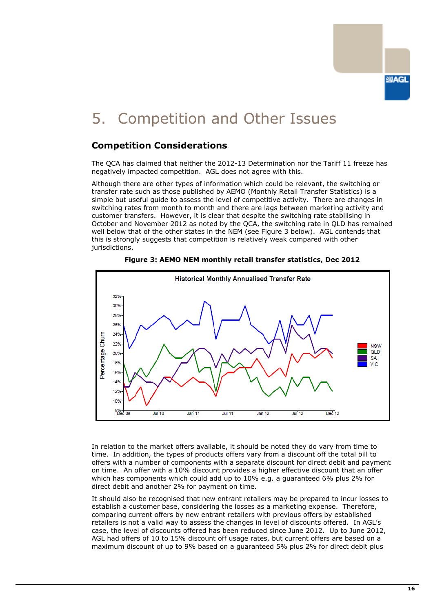# <span id="page-17-0"></span>5. Competition and Other Issues

# <span id="page-17-1"></span>**Competition Considerations**

The QCA has claimed that neither the 2012-13 Determination nor the Tariff 11 freeze has negatively impacted competition. AGL does not agree with this.

Although there are other types of information which could be relevant, the switching or transfer rate such as those published by AEMO (Monthly Retail Transfer Statistics) is a simple but useful guide to assess the level of competitive activity. There are changes in switching rates from month to month and there are lags between marketing activity and customer transfers. However, it is clear that despite the switching rate stabilising in October and November 2012 as noted by the QCA, the switching rate in QLD has remained well below that of the other states in the NEM (see Figure 3 below). AGL contends that this is strongly suggests that competition is relatively weak compared with other jurisdictions.





In relation to the market offers available, it should be noted they do vary from time to time. In addition, the types of products offers vary from a discount off the total bill to offers with a number of components with a separate discount for direct debit and payment on time. An offer with a 10% discount provides a higher effective discount that an offer which has components which could add up to 10% e.g. a guaranteed 6% plus 2% for direct debit and another 2% for payment on time.

It should also be recognised that new entrant retailers may be prepared to incur losses to establish a customer base, considering the losses as a marketing expense. Therefore, comparing current offers by new entrant retailers with previous offers by established retailers is not a valid way to assess the changes in level of discounts offered. In AGL"s case, the level of discounts offered has been reduced since June 2012. Up to June 2012, AGL had offers of 10 to 15% discount off usage rates, but current offers are based on a maximum discount of up to 9% based on a guaranteed 5% plus 2% for direct debit plus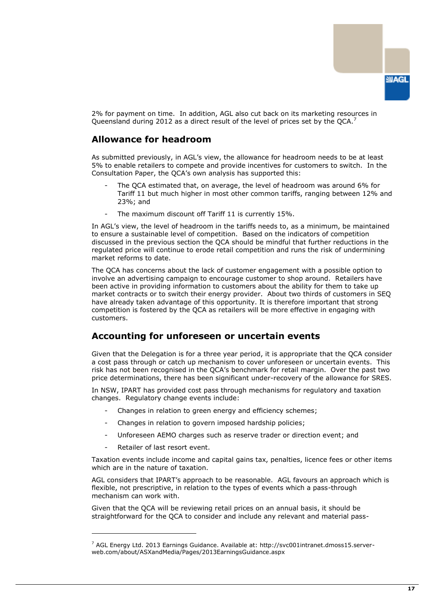

2% for payment on time. In addition, AGL also cut back on its marketing resources in Queensland during 2012 as a direct result of the level of prices set by the QCA.<sup>7</sup>

# <span id="page-18-0"></span>**Allowance for headroom**

As submitted previously, in AGL"s view, the allowance for headroom needs to be at least 5% to enable retailers to compete and provide incentives for customers to switch. In the Consultation Paper, the QCA"s own analysis has supported this:

- The QCA estimated that, on average, the level of headroom was around 6% for Tariff 11 but much higher in most other common tariffs, ranging between 12% and 23%; and
- The maximum discount off Tariff 11 is currently 15%.

In AGL's view, the level of headroom in the tariffs needs to, as a minimum, be maintained to ensure a sustainable level of competition. Based on the indicators of competition discussed in the previous section the QCA should be mindful that further reductions in the regulated price will continue to erode retail competition and runs the risk of undermining market reforms to date.

The QCA has concerns about the lack of customer engagement with a possible option to involve an advertising campaign to encourage customer to shop around. Retailers have been active in providing information to customers about the ability for them to take up market contracts or to switch their energy provider. About two thirds of customers in SEQ have already taken advantage of this opportunity. It is therefore important that strong competition is fostered by the QCA as retailers will be more effective in engaging with customers.

## <span id="page-18-1"></span>**Accounting for unforeseen or uncertain events**

Given that the Delegation is for a three year period, it is appropriate that the QCA consider a cost pass through or catch up mechanism to cover unforeseen or uncertain events. This risk has not been recognised in the QCA"s benchmark for retail margin. Over the past two price determinations, there has been significant under-recovery of the allowance for SRES.

In NSW, IPART has provided cost pass through mechanisms for regulatory and taxation changes. Regulatory change events include:

- Changes in relation to green energy and efficiency schemes;
- Changes in relation to govern imposed hardship policies;
- Unforeseen AEMO charges such as reserve trader or direction event; and
- Retailer of last resort event.

-

Taxation events include income and capital gains tax, penalties, licence fees or other items which are in the nature of taxation.

AGL considers that IPART"s approach to be reasonable. AGL favours an approach which is flexible, not prescriptive, in relation to the types of events which a pass-through mechanism can work with.

Given that the QCA will be reviewing retail prices on an annual basis, it should be straightforward for the QCA to consider and include any relevant and material pass-

<sup>7</sup> AGL Energy Ltd. 2013 Earnings Guidance. Available at: http://svc001intranet.dmoss15.serverweb.com/about/ASXandMedia/Pages/2013EarningsGuidance.aspx